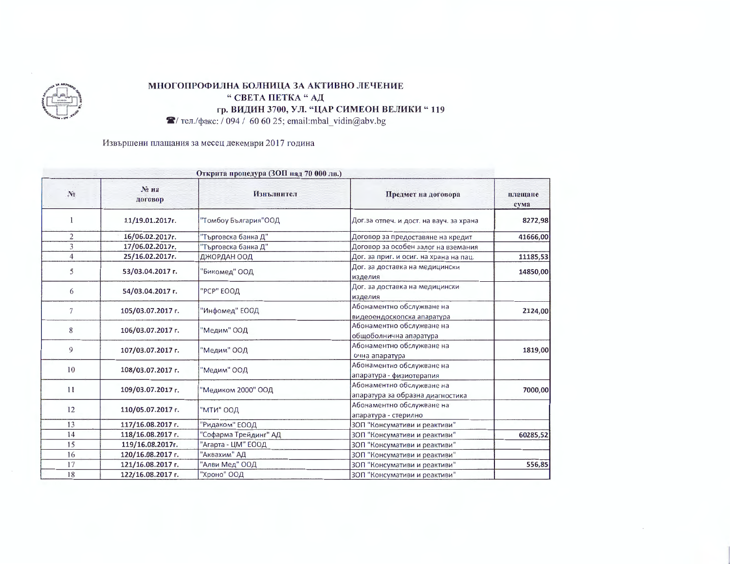

## МНОГОПРОФИЛНА БОЛНИЦА ЗА АКТИВНО ЛЕЧЕНИЕ " СВЕТА ПЕТКА "АД гр. ВИДИН 3700, УЛ. "ЦАР СИМЕОН ВЕЛИКИ "119  $\blacktriangleright$  тел./факс: / 094 / 60 60 25; email:mbal\_vidin@abv.bg

Извършени плащания за месец декември 2017 година

| Открита процедура (ЗОП над 70 000 лв.) |                                                               |                       |                   |                |  |
|----------------------------------------|---------------------------------------------------------------|-----------------------|-------------------|----------------|--|
| плащане<br>сума                        | Предмет на договора                                           | Изнълнител            | № на<br>договор   | N <sub>2</sub> |  |
| 8272,98                                | Дог.за отпеч. и дост. на вауч. за храна                       | "Томбоу България"ООД  | 11/19.01.2017r.   |                |  |
| 41666,00                               | Договор за предоставяне на кредит                             | "Търговска банка Д"   | 16/06.02.2017r.   | $\overline{2}$ |  |
|                                        | Договор за особен залог на вземания                           | "Търговска банка Д"   | 17/06.02.2017r.   | 3              |  |
| 11185,53                               | Дог. за приг. и осиг. на храна на пац.                        | ДЖОРДАН ООД           | 25/16.02.2017r.   | $\overline{4}$ |  |
| 14850,00                               | Дог. за доставка на медицински<br>изделия                     | "Бикомед" ООД         | 53/03.04.2017 r.  | 5              |  |
|                                        | Дог. за доставка на медицински<br>изделия                     | "РСР" ЕООД            | 54/03.04.2017 г.  | 6              |  |
| 2124,00                                | Абонаментно обслужване на<br>видеоендоскопска апаратура       | "Инфомед" ЕООД        | 105/03.07.2017 г. | 7              |  |
|                                        | Абонаментно обслужване на<br>общоболнична апаратура           | "Медим" ООД           | 106/03.07.2017 г. | 8              |  |
| 1819,00                                | Абонаментно обслужване на<br>очна апаратура                   | "Медим" ООД           | 107/03.07.2017 г. | 9              |  |
|                                        | Абонаментно обслужване на<br>апаратура - физиотерапия         | "Медим" ООД           | 108/03.07.2017 r. | 10             |  |
| 7000,00                                | Абонаментно обслужване на<br>апаратура за образна диагностика | "Медиком 2000" ООД    | 109/03.07.2017 г. | 11             |  |
|                                        | Абонаментно обслужване на<br>апаратура - стерилно             | "МТИ" ООД             | 110/05.07.2017 r. | 12             |  |
|                                        | ЗОП "Консумативи и реактиви"                                  | "Ридаком" ЕООД        | 117/16.08.2017 г. | 13             |  |
| 60285,52                               | 3ОП "Консумативи и реактиви"                                  | "Софарма Трейдинг" АД | 118/16.08.2017 г. | 14             |  |
|                                        | ЗОП "Консумативи и реактиви"                                  | 'Агарта - ЦМ" ЕООД    | 119/16.08.2017r.  | 15             |  |
|                                        | ЗОП "Консумативи и реактиви"                                  | "Аквахим" АД          | 120/16.08.2017 r. | 16             |  |
| 556,85                                 | ЗОП "Консумативи и реактиви"                                  | "Алви Мед" ООД        | 121/16.08.2017 г. | 17             |  |
|                                        | 3ОП "Консумативи и реактиви"                                  | "Хроно" ООД           | 122/16.08.2017 г. | 18             |  |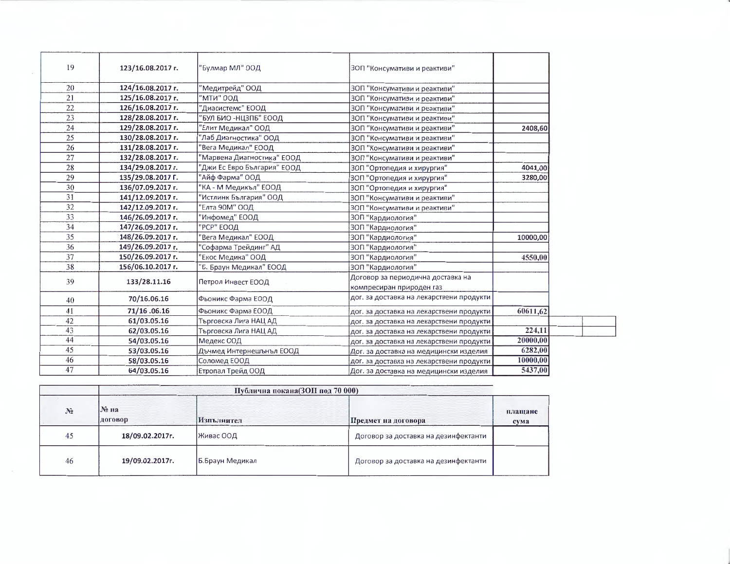| 19 | 123/16.08.2017 r. | "Булмар МЛ" ООД             | ЗОП "Консумативи и реактиви"                                  |          |
|----|-------------------|-----------------------------|---------------------------------------------------------------|----------|
| 20 | 124/16.08.2017 г. | 'Медитрейд" ООД             | ЗОП "Консумативи и реактиви"                                  |          |
| 21 | 125/16.08.2017 г. | МТИ" ООД                    | ЗОП "Консумативи и реактиви"                                  |          |
| 22 | 126/16.08.2017 г. | "Диасистемс" ЕООД           | ЗОП "Консумативи и реактиви"                                  |          |
| 23 | 128/28.08.2017 г. | БУЛ БИО -НЦЗПБ" ЕООД        | ЗОП "Консумативи и реактиви"                                  |          |
| 24 | 129/28.08.2017 г. | Елит Медикал" ООД           | ЗОП "Консумативи и реактиви"                                  | 2408,60  |
| 25 | 130/28.08.2017 г. | 'Лаб Диагностика" ООД       | ЗОП "Консумативи и реактиви"                                  |          |
| 26 | 131/28.08.2017 г. | 'Вега Медикал" ЕООД         | ЗОП "Консумативи и реактиви"                                  |          |
| 27 | 132/28.08.2017 г. | "Марвена Диагностика" ЕООД  | ЗОП "Консумативи и реактиви"                                  |          |
| 28 | 134/29.08.2017 г. | "Джи Ес Евро България" ЕООД | ЗОП "Ортопедия и хирургия"                                    | 4041,00  |
| 29 | 135/29.08.2017 Г. | 'Айф Фарма" ООД             | 3ОП "Ортопедия и хирургия"                                    | 3280,00  |
| 30 | 136/07.09.2017 г. | "КА - М Медикъл" ЕООД       | ЗОП "Ортопедия и хирургия"                                    |          |
| 31 | 141/12.09.2017 г. | Истлинк България" ООД       | ЗОП "Консумативи и реактиви"                                  |          |
| 32 | 142/12.09.2017 г. | Елта 90М" ООД               | ЗОП "Консумативи и реактиви"                                  |          |
| 33 | 146/26.09.2017 г. | Инфомед" ЕООД               | ЗОП "Кардиология"                                             |          |
| 34 | 147/26.09.2017 r. | РСР" ЕООД                   | ЗОП "Кардиология"                                             |          |
| 35 | 148/26.09.2017 г. | Вега Медикал" ЕООД          | ЗОП "Кардиология"                                             | 10000,00 |
| 36 | 149/26.09.2017 г. | 'Софарма Трейдинг" АД       | ЗОП "Кардиология"                                             |          |
| 37 | 150/26.09.2017 г. | Екос Медика" ООД            | ЗОП "Кардиология"                                             | 4550,00  |
| 38 | 156/06.10.2017 г. | 5. Браун Медикал" ЕООД      | ЗОП "Кардиология"                                             |          |
| 39 | 133/28.11.16      | Петрол Инвест ЕООД          | Договор за периодична доставка на<br>компресиран природен газ |          |
| 40 | 70/16.06.16       | Фьоникс Фарма ЕООД          | дог. за доставка на лекарствени продукти                      |          |
| 41 | 71/16.06.16       | Фьоникс Фарма ЕООД          | дог. за доставка на лекарствени продукти                      | 60611,62 |
| 42 | 61/03.05.16       | Търговска Лига НАЦ АД       | дог. за доставка на лекарствени продукти                      |          |
| 43 | 62/03.05.16       | Търговска Лига НАЦ АД       | дог. за доставка на лекарствени продукти                      | 224,11   |
| 44 | 54/03.05.16       | Медекс ООД                  | дог. за доставка на лекарствени продукти                      | 20000,00 |
| 45 | 53/03.05.16       | Дъчмед Интернешънъл ЕООД    | Дог. за доставка на медицински изделия                        | 6282,00  |
| 46 | 58/03.05.16       | Соломед ЕООД                | дог. за доставка на лекарствени продукти                      | 10000,00 |
| 47 | 64/03.05.16       | Етропал Трейд ООД           | Дог. за доставка на медицински изделия                        | 5437,00  |

|                | Публична покана(ЗОП под 70 000) |                 |                                      |                 |  |
|----------------|---------------------------------|-----------------|--------------------------------------|-----------------|--|
| N <sub>2</sub> | No Ha<br>договор                | Изпълнител      | Предмет на договора                  | плащане<br>сума |  |
| 45             | 18/09.02.2017r.                 | Живас ООД       | Договор за доставка на дезинфектанти |                 |  |
| 46             | 19/09.02.2017r.                 | Б.Браун Медикал | Договор за доставка на дезинфектанти |                 |  |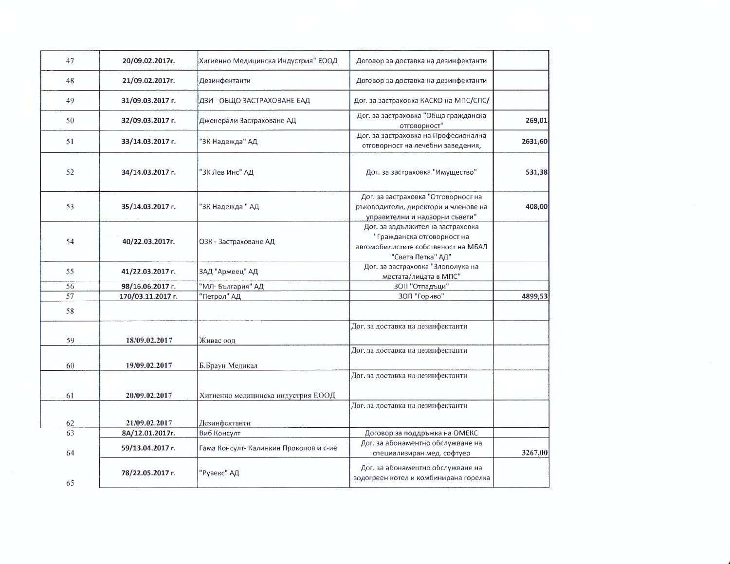| 47 | 20/09.02.2017г.   | Хигиенно Медицинска Индустрия" ЕООД    | Договор за доставка на дезинфектанти                                                                                       |         |
|----|-------------------|----------------------------------------|----------------------------------------------------------------------------------------------------------------------------|---------|
| 48 | 21/09.02.2017г.   | Дезинфектанти                          | Договор за доставка на дезинфектанти                                                                                       |         |
| 49 | 31/09.03.2017 г.  | ДЗИ - ОБЩО ЗАСТРАХОВАНЕ ЕАД            | Дог. за застраховка КАСКО на МПС/СПС/                                                                                      |         |
| 50 | 32/09.03.2017 г.  | Дженерали Застраховане АД              | Дог. за застраховка "Обща гражданска<br>отговорност"                                                                       | 269,01  |
| 51 | 33/14.03.2017 г.  | "ЗК Надежда" АД                        | Дог. за застраховка на Професионална<br>отговорност на лечебни заведения,                                                  | 2631,60 |
| 52 | 34/14.03.2017 г.  | "ЗК Лев Инс" АД                        | Дог. за застраховка "Имущество"                                                                                            | 531,38  |
| 53 | 35/14.03.2017 г.  | "ЗК Надежда " АД                       | Дог. за застраховка "Отговорност на<br>ръководители, директори и членове на<br>управителни и надзорни съвети"              | 408,00  |
| 54 | 40/22.03.2017r.   | ОЗК - Застраховане АД                  | Дог. за задължителна застраховка<br>"Гражданска отговорност на<br>автомобилистите собственост на МБАЛ<br>"Света Петка" АД" |         |
| 55 | 41/22.03.2017 г.  | ЗАД "Армеец" АД                        | Дог. за застраховка "Злополука на<br>местата/лицата в МПС"                                                                 |         |
| 56 | 98/16.06.2017 г.  | "МЛ- България" АД                      | 30П "Отпадъци"                                                                                                             |         |
| 57 | 170/03.11.2017 г. | "Петрол" АД                            | 30П "Гориво"                                                                                                               | 4899,53 |
| 58 |                   |                                        |                                                                                                                            |         |
| 59 | 18/09.02.2017     | Живас оод                              | Дог. за доставка на дезинфектанти                                                                                          |         |
| 60 | 19/09.02.2017     | Б.Браун Медикал                        | Дог. за доставка на дезинфектанти                                                                                          |         |
|    |                   |                                        | Дог. за доставка на дезинфектанти                                                                                          |         |
| 61 | 20/09.02.2017     | Хигиенно медицинска индустрия ЕООД     |                                                                                                                            |         |
|    |                   |                                        | Дог. за доставка на дезинфектанти                                                                                          |         |
| 62 | 21/09.02.2017     | Дезинфектанти                          |                                                                                                                            |         |
| 63 | 8A/12.01.2017r.   | Виб Консулт                            | Договор за поддръжка на ОМЕКС                                                                                              |         |
| 64 | 59/13.04.2017 г.  | Гама Консулт- Калинкин Прокопов и с-ие | Дог. за абонаментно обслужване на<br>специализиран мед. софтуер                                                            | 3267,00 |
| 65 | 78/22.05.2017 г.  | "Рувекс" АД                            | Дог. за абонаментно обслужване на<br>водогреен котел и комбинирана горелка                                                 |         |